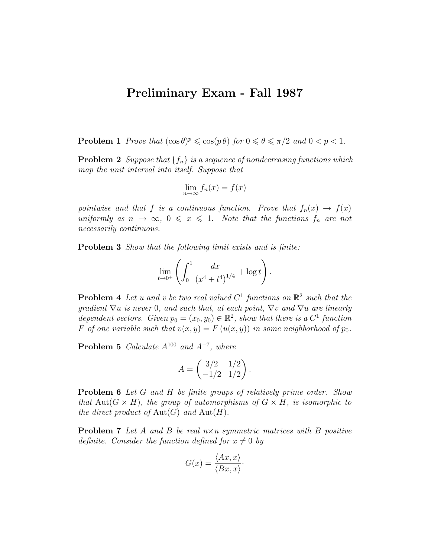## Preliminary Exam - Fall 1987

**Problem 1** Prove that  $(\cos \theta)^p \leq \cos(p \theta)$  for  $0 \leq \theta \leq \pi/2$  and  $0 < p < 1$ .

**Problem 2** Suppose that  $\{f_n\}$  is a sequence of nondecreasing functions which map the unit interval into itself. Suppose that

$$
\lim_{n \to \infty} f_n(x) = f(x)
$$

pointwise and that f is a continuous function. Prove that  $f_n(x) \to f(x)$ uniformly as  $n \to \infty$ ,  $0 \leq x \leq 1$ . Note that the functions  $f_n$  are not necessarily continuous.

Problem 3 Show that the following limit exists and is finite:

$$
\lim_{t \to 0^+} \left( \int_0^1 \frac{dx}{(x^4 + t^4)^{1/4}} + \log t \right).
$$

**Problem 4** Let u and v be two real valued  $C^1$  functions on  $\mathbb{R}^2$  such that the gradient  $\nabla u$  is never 0, and such that, at each point,  $\nabla v$  and  $\nabla u$  are linearly dependent vectors. Given  $p_0 = (x_0, y_0) \in \mathbb{R}^2$ , show that there is a  $C^1$  function F of one variable such that  $v(x, y) = F(u(x, y))$  in some neighborhood of  $p_0$ .

**Problem 5** Calculate  $A^{100}$  and  $A^{-7}$ , where

$$
A = \begin{pmatrix} 3/2 & 1/2 \\ -1/2 & 1/2 \end{pmatrix}.
$$

**Problem 6** Let G and H be finite groups of relatively prime order. Show that Aut $(G \times H)$ , the group of automorphisms of  $G \times H$ , is isomorphic to the direct product of  $\text{Aut}(G)$  and  $\text{Aut}(H)$ .

**Problem 7** Let A and B be real  $n \times n$  symmetric matrices with B positive definite. Consider the function defined for  $x \neq 0$  by

$$
G(x) = \frac{\langle Ax, x \rangle}{\langle Bx, x \rangle}.
$$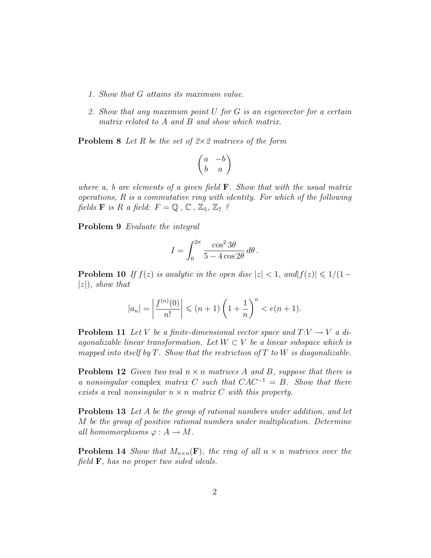- 1. Show that G attains its maximum value.
- 2. Show that any maximum point U for G is an eigenvector for a certain matrix related to A and B and show which matrix.

**Problem 8** Let R be the set of  $2 \times 2$  matrices of the form

$$
\begin{pmatrix} a & -b \\ b & a \end{pmatrix}
$$

where a, b are elements of a given field  $\bf{F}$ . Show that with the usual matrix operations, R is a commutative ring with identity. For which of the following fields **F** is R a field:  $F = \mathbb{Q}$ ,  $\mathbb{C}$ ,  $\mathbb{Z}_5$ ,  $\mathbb{Z}_7$ ?

Problem 9 Evaluate the integral

$$
I = \int_0^{2\pi} \frac{\cos^2 3\theta}{5 - 4\cos 2\theta} \, d\theta \, .
$$

**Problem 10** If  $f(z)$  is analytic in the open disc  $|z| < 1$ , and  $|f(z)| \leq 1/(1-\epsilon)$  $|z|$ , show that

$$
|a_n| = \left|\frac{f^{(n)}(0)}{n!}\right| \le (n+1)\left(1 + \frac{1}{n}\right)^n < e(n+1).
$$

**Problem 11** Let V be a finite-dimensional vector space and  $T:V \to V$  a diagonalizable linear transformation. Let  $W \subset V$  be a linear subspace which is mapped into itself by  $T$ . Show that the restriction of  $T$  to  $W$  is diagonalizable.

**Problem 12** Given two real  $n \times n$  matrices A and B, suppose that there is a nonsingular complex matrix C such that  $CAC^{-1} = B$ . Show that there exists a real nonsingular  $n \times n$  matrix C with this property.

Problem 13 Let A be the group of rational numbers under addition, and let M be the group of positive rational numbers under multiplication. Determine all homomorphisms  $\varphi: A \to M$ .

**Problem 14** Show that  $M_{n\times n}(\mathbf{F})$ , the ring of all  $n \times n$  matrices over the field  $\mathbf{F}$ , has no proper two sided ideals.